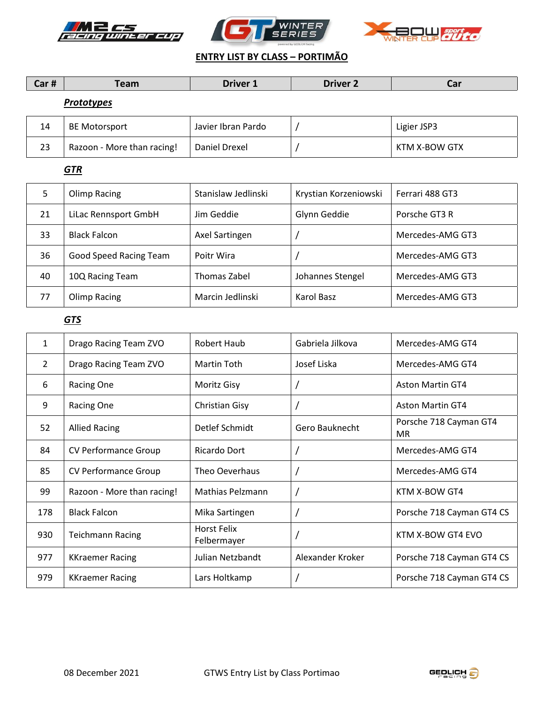





## **ENTRY LIST BY CLASS – PORTIMÃO**

|  | - --<br>--<br>כםו π | $- - - -$ | <b>Driver</b><br><u>.</u> | $T$ iver $\lambda$<br>---- |  |
|--|---------------------|-----------|---------------------------|----------------------------|--|
|--|---------------------|-----------|---------------------------|----------------------------|--|

# *Prototypes*

| 14 | <b>BE Motorsport</b>       | Javier Ibran Pardo | Ligier JSP3   |
|----|----------------------------|--------------------|---------------|
| 23 | Razoon - More than racing! | Daniel Drexel      | KTM X-BOW GTX |

### *GTR*

| 5  | Olimp Racing                  | Stanislaw Jedlinski | Krystian Korzeniowski | Ferrari 488 GT3  |
|----|-------------------------------|---------------------|-----------------------|------------------|
| 21 | LiLac Rennsport GmbH          | Jim Geddie          | Glynn Geddie          | Porsche GT3 R    |
| 33 | <b>Black Falcon</b>           | Axel Sartingen      |                       | Mercedes-AMG GT3 |
| 36 | <b>Good Speed Racing Team</b> | Poitr Wira          |                       | Mercedes-AMG GT3 |
| 40 | 10Q Racing Team               | Thomas Zabel        | Johannes Stengel      | Mercedes-AMG GT3 |
| 77 | Olimp Racing                  | Marcin Jedlinski    | Karol Basz            | Mercedes-AMG GT3 |

# *GTS*

| 1   | Drago Racing Team ZVO       | Robert Haub                | Gabriela Jilkova      | Mercedes-AMG GT4              |
|-----|-----------------------------|----------------------------|-----------------------|-------------------------------|
| 2   | Drago Racing Team ZVO       | Martin Toth                | Josef Liska           | Mercedes-AMG GT4              |
| 6   | Racing One                  | Moritz Gisy                |                       | <b>Aston Martin GT4</b>       |
| 9   | Racing One                  | <b>Christian Gisy</b>      |                       | <b>Aston Martin GT4</b>       |
| 52  | <b>Allied Racing</b>        | Detlef Schmidt             | <b>Gero Bauknecht</b> | Porsche 718 Cayman GT4<br>MR. |
| 84  | <b>CV Performance Group</b> | Ricardo Dort               |                       | Mercedes-AMG GT4              |
| 85  | <b>CV Performance Group</b> | Theo Oeverhaus             |                       | Mercedes-AMG GT4              |
| 99  | Razoon - More than racing!  | Mathias Pelzmann           |                       | KTM X-BOW GT4                 |
| 178 | <b>Black Falcon</b>         | Mika Sartingen             |                       | Porsche 718 Cayman GT4 CS     |
| 930 | <b>Teichmann Racing</b>     | Horst Felix<br>Felbermayer |                       | KTM X-BOW GT4 EVO             |
| 977 | <b>KKraemer Racing</b>      | Julian Netzbandt           | Alexander Kroker      | Porsche 718 Cayman GT4 CS     |
| 979 | <b>KKraemer Racing</b>      | Lars Holtkamp              |                       | Porsche 718 Cayman GT4 CS     |